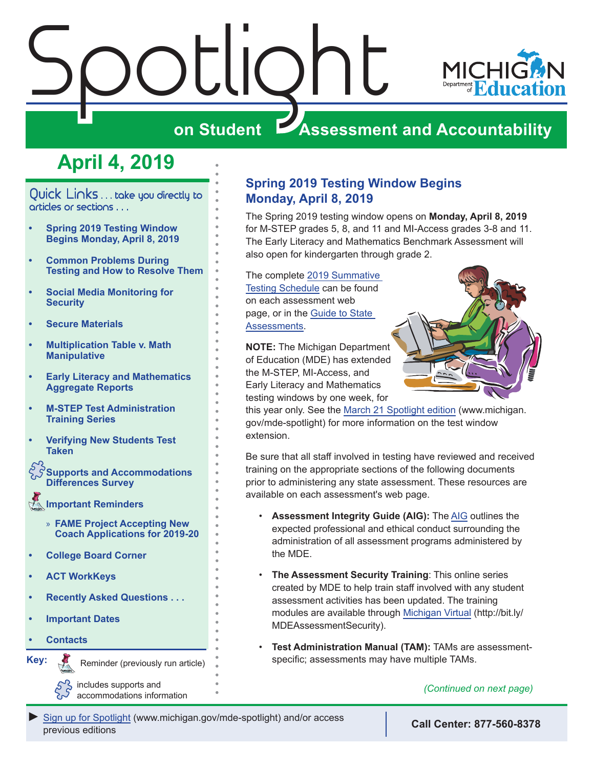



# **on Student Assessment and Accountability**

# **April 4, 2019**

<span id="page-0-0"></span>Quick Links . . . take you directly to articles or sections . . .

- **• Spring 2019 Testing Window Begins Monday, April 8, 2019**
- **• [Common Problems During](#page-4-0)  [Testing and How to Resolve Them](#page-4-0)**
- **• [Social Media Monitoring for](#page-4-0)  [Security](#page-4-0)**
- **• [Secure Materials](#page-5-0)**
- **• [Multiplication Table v. Math](#page-5-0)  [Manipulative](#page-5-0)**
- **• [Early Literacy and Mathematics](#page-5-0)  [Aggregate Reports](#page-5-0)**
- **• [M-STEP Test Administration](#page-6-0)  [Training Series](#page-6-0)**
- **• [Verifying New Students Test](#page-6-0)  [Taken](#page-6-0)**

**[Supports and Accommodations](#page-6-0)  [Differences Survey](#page-6-0)**

- **[Important Reminders](#page-7-0)** 
	- » **[FAME Project Accepting New](#page-7-0)  [Coach Applications for 2019-20](#page-7-0)**
- **• [College Board Corner](#page-8-0)**
- **• [ACT WorkKeys](#page-9-0)**
- **• [Recently Asked Questions . . .](#page-11-0)**
- **• [Important Dates](#page-12-0)**
- **• [Contacts](#page-14-0)**

Reminders

**Key:**

Reminder (previously run article)

includes supports and accommodations information

## **Spring 2019 Testing Window Begins Monday, April 8, 2019**

The Spring 2019 testing window opens on **Monday, April 8, 2019** for M-STEP grades 5, 8, and 11 and MI-Access grades 3-8 and 11. The Early Literacy and Mathematics Benchmark Assessment will also open for kindergarten through grade 2.

The complete [2019 Summative](https://www.michigan.gov/documents/mde/Testing_Schedule_for_Summative_Assessments_635008_7.pdf)  [Testing Schedule](https://www.michigan.gov/documents/mde/Testing_Schedule_for_Summative_Assessments_635008_7.pdf) can be found on each assessment web page, or in the [Guide to State](https://www.michigan.gov/documents/mde/Testing_Schedule_for_Summative_Assessments_635008_7.pdf)  [Assessments.](https://www.michigan.gov/documents/mde/Testing_Schedule_for_Summative_Assessments_635008_7.pdf)

**NOTE:** The Michigan Department of Education (MDE) has extended the M-STEP, MI-Access, and Early Literacy and Mathematics testing windows by one week, for



this year only. See the [March 21 Spotlight edition](https://www.michigan.gov/documents/mde/Spotlight_3-21-19_650049_7.pdf) (www.michigan. gov/mde-spotlight) for more information on the test window extension.

Be sure that all staff involved in testing have reviewed and received training on the appropriate sections of the following documents prior to administering any state assessment. These resources are available on each assessment's web page.

- **Assessment Integrity Guide (AIG):** The [AIG](https://www.michigan.gov/documents/mde/Assessment_Integrity_Guide_291950_7.pdf) outlines the expected professional and ethical conduct surrounding the administration of all assessment programs administered by the MDE.
- **The Assessment Security Training**: This online series created by MDE to help train staff involved with any student assessment activities has been updated. The training modules are available through [Michigan Virtual](http://bit.ly/MDEAssessmentSecurity) (http://bit.ly/ MDEAssessmentSecurity).
- **Test Administration Manual (TAM):** TAMs are assessmentspecific; assessments may have multiple TAMs.

*(Continued on next page)*

[Sign up for Spotlight](https://public.govdelivery.com/accounts/MIMDE/subscriber/new) ([www.michigan.gov/mde-](www.michigan.gov/mde-spotlight)spotlight) and/or access previous editions **Call Center: 877-560-8378**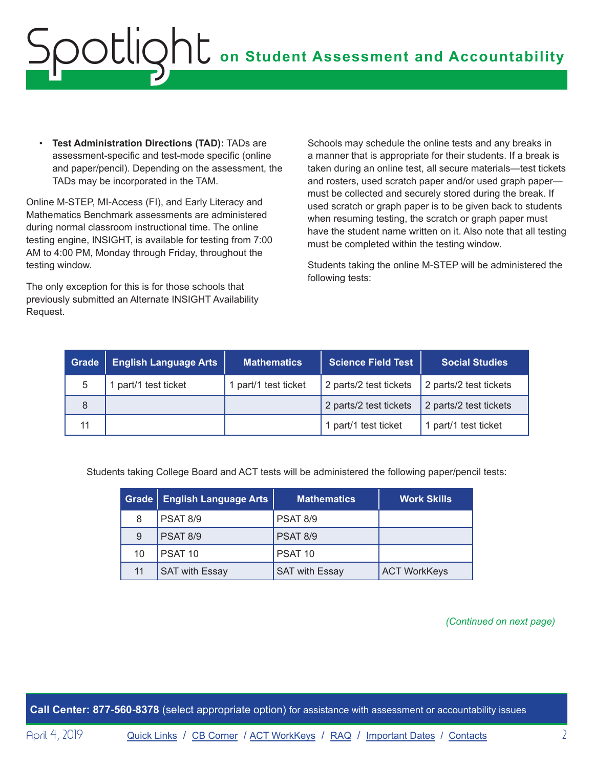**Test Administration Directions (TAD): TADs are** assessment-specific and test-mode specific (online and paper/pencil). Depending on the assessment, the TADs may be incorporated in the TAM.

Online M-STEP, MI-Access (FI), and Early Literacy and Mathematics Benchmark assessments are administered during normal classroom instructional time. The online testing engine, INSIGHT, is available for testing from 7:00 AM to 4:00 PM, Monday through Friday, throughout the testing window.

The only exception for this is for those schools that previously submitted an Alternate INSIGHT Availability Request.

Schools may schedule the online tests and any breaks in a manner that is appropriate for their students. If a break is taken during an online test, all secure materials—test tickets and rosters, used scratch paper and/or used graph paper must be collected and securely stored during the break. If used scratch or graph paper is to be given back to students when resuming testing, the scratch or graph paper must have the student name written on it. Also note that all testing must be completed within the testing window.

Students taking the online M-STEP will be administered the following tests:

| Grade | <b>English Language Arts</b> | <b>Mathematics</b>   | <b>Science Field Test</b> | <b>Social Studies</b>  |
|-------|------------------------------|----------------------|---------------------------|------------------------|
| 5     | part/1 test ticket           | 1 part/1 test ticket | 2 parts/2 test tickets    | 2 parts/2 test tickets |
| 8     |                              |                      | 2 parts/2 test tickets    | 2 parts/2 test tickets |
| 11    |                              |                      | 1 part/1 test ticket      | 1 part/1 test ticket   |

Students taking College Board and ACT tests will be administered the following paper/pencil tests:

|    | Grade   English Language Arts | <b>Mathematics</b>    | <b>Work Skills</b>  |
|----|-------------------------------|-----------------------|---------------------|
| 8  | PSAT 8/9                      | PSAT 8/9              |                     |
| 9  | <b>PSAT 8/9</b>               | <b>PSAT 8/9</b>       |                     |
| 10 | PSAT <sub>10</sub>            | PSAT 10               |                     |
| 11 | <b>SAT with Essay</b>         | <b>SAT with Essay</b> | <b>ACT WorkKeys</b> |

*(Continued on next page)*

**Call Center: 877-560-8378** (select appropriate option) for assistance with assessment or accountability issues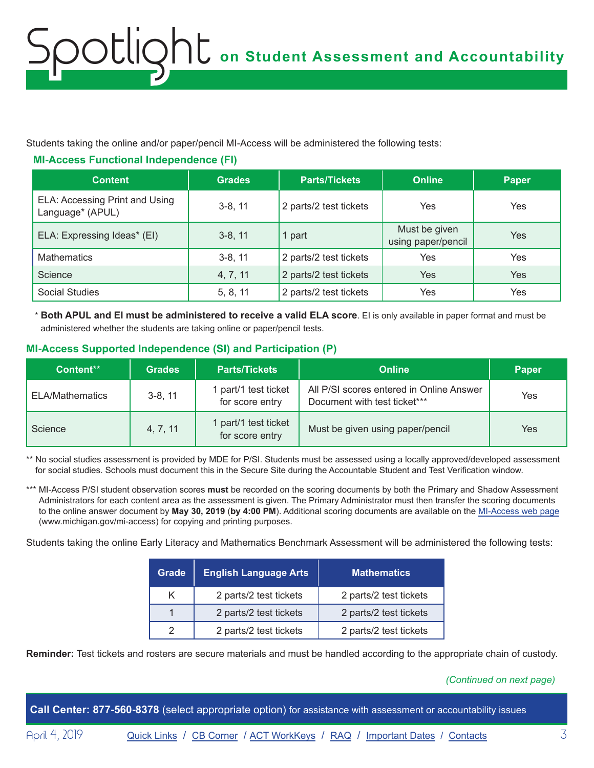Students taking the online and/or paper/pencil MI-Access will be administered the following tests:

#### **MI-Access Functional Independence (FI)**

| <b>Content</b>                                     | <b>Grades</b> | <b>Parts/Tickets</b>   | <b>Online</b>                       | <b>Paper</b> |
|----------------------------------------------------|---------------|------------------------|-------------------------------------|--------------|
| ELA: Accessing Print and Using<br>Language* (APUL) | $3-8, 11$     | 2 parts/2 test tickets | Yes                                 | Yes          |
| ELA: Expressing Ideas* (EI)                        | $3-8, 11$     | 1 part                 | Must be given<br>using paper/pencil | Yes          |
| <b>Mathematics</b>                                 | $3-8, 11$     | 2 parts/2 test tickets | Yes                                 | Yes          |
| Science                                            | 4, 7, 11      | 2 parts/2 test tickets | <b>Yes</b>                          | Yes          |
| Social Studies                                     | 5, 8, 11      | 2 parts/2 test tickets | Yes                                 | Yes          |

\* **Both APUL and EI must be administered to receive a valid ELA score**. EI is only available in paper format and must be administered whether the students are taking online or paper/pencil tests.

#### **MI-Access Supported Independence (SI) and Participation (P)**

| Content**       | <b>Grades</b> | <b>Parts/Tickets</b>                    | <b>Online</b>                                                            | <b>Paper</b> |
|-----------------|---------------|-----------------------------------------|--------------------------------------------------------------------------|--------------|
| ELA/Mathematics | $3-8, 11$     | part/1 test ticket<br>for score entry   | All P/SI scores entered in Online Answer<br>Document with test ticket*** | Yes          |
| Science         | 4, 7, 11      | 1 part/1 test ticket<br>for score entry | Must be given using paper/pencil                                         | Yes          |

\*\* No social studies assessment is provided by MDE for P/SI. Students must be assessed using a locally approved/developed assessment for social studies. Schools must document this in the Secure Site during the Accountable Student and Test Verification window.

\*\*\* MI-Access P/SI student observation scores **must** be recorded on the scoring documents by both the Primary and Shadow Assessment Administrators for each content area as the assessment is given. The Primary Administrator must then transfer the scoring documents to the online answer document by **May 30, 2019** (**by 4:00 PM**). Additional scoring documents are available on the [MI-Access web page](http://www.michigan.gov/mi-access) (www.michigan.gov/mi-access) for copying and printing purposes.

Students taking the online Early Literacy and Mathematics Benchmark Assessment will be administered the following tests:

| Grade | <b>English Language Arts</b> | <b>Mathematics</b>     |
|-------|------------------------------|------------------------|
| κ     | 2 parts/2 test tickets       | 2 parts/2 test tickets |
|       | 2 parts/2 test tickets       | 2 parts/2 test tickets |
| 2     | 2 parts/2 test tickets       | 2 parts/2 test tickets |

**Reminder:** Test tickets and rosters are secure materials and must be handled according to the appropriate chain of custody.

#### *(Continued on next page)*

**Call Center: 877-560-8378** (select appropriate option) for assistance with assessment or accountability issues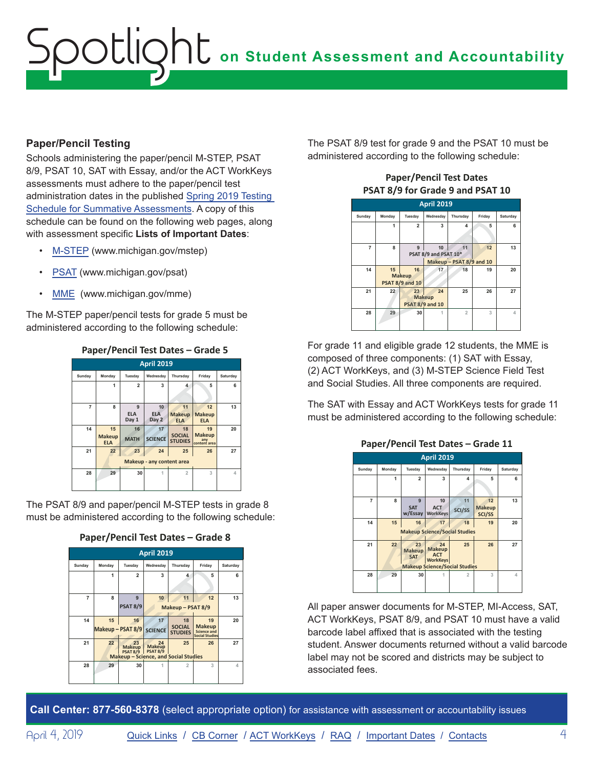#### **Paper/Pencil Testing**

Schools administering the paper/pencil M-STEP, PSAT 8/9, PSAT 10, SAT with Essay, and/or the ACT WorkKeys assessments must adhere to the paper/pencil test administration dates in the published [Spring 2019 Testing](https://www.michigan.gov/documents/mde/Testing_Schedule_for_Summative_Assessments_635008_7.pdf)  [Schedule for Summative Assessments.](https://www.michigan.gov/documents/mde/Testing_Schedule_for_Summative_Assessments_635008_7.pdf) A copy of this schedule can be found on the following web pages, along with assessment specific **Lists of Important Dates**:

- [M-STEP](www.michigan.gov/mstep) (www.michigan.gov/mstep)
- [PSAT](http://www.michigan.gov/psat) (www.michigan.gov/psat)
- [MME](www.michigan.gov/mme) (www.michigan.gov/mme)

The M-STEP paper/pencil tests for grade 5 must be administered according to the following schedule:



The PSAT 8/9 and paper/pencil M-STEP tests in grade 8 must be administered according to the following schedule:



**Paper/Pencil Test Dates – Grade 8**

The PSAT 8/9 test for grade 9 and the PSAT 10 must be administered according to the following schedule:



For grade 11 and eligible grade 12 students, the MME is composed of three components: (1) SAT with Essay, (2) ACT WorkKeys, and (3) M-STEP Science Field Test and Social Studies. All three components are required.

The SAT with Essay and ACT WorkKeys tests for grade 11 must be administered according to the following schedule:



All paper answer documents for M-STEP, MI-Access, SAT, ACT WorkKeys, PSAT 8/9, and PSAT 10 must have a valid barcode label affixed that is associated with the testing student. Answer documents returned without a valid barcode label may not be scored and districts may be subject to associated fees.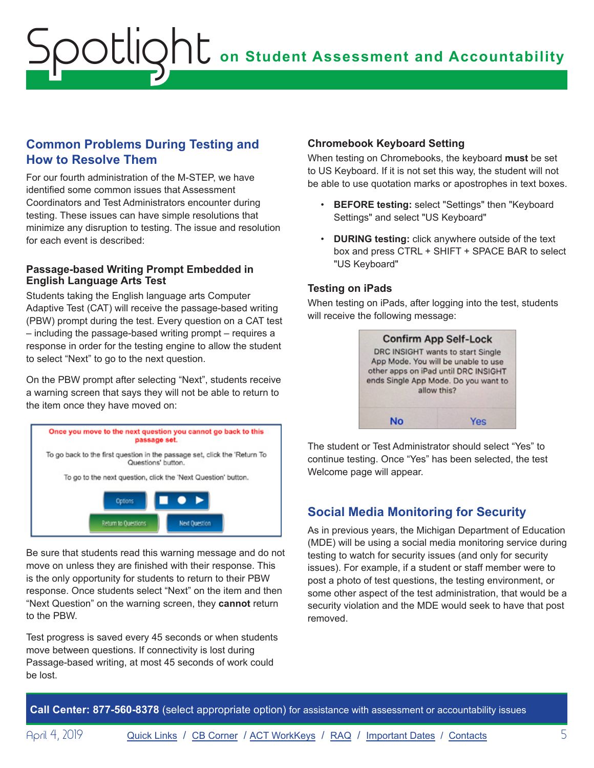### <span id="page-4-0"></span>**Common Problems During Testing and How to Resolve Them**

For our fourth administration of the M-STEP, we have identified some common issues that Assessment Coordinators and Test Administrators encounter during testing. These issues can have simple resolutions that minimize any disruption to testing. The issue and resolution for each event is described:

#### **Passage-based Writing Prompt Embedded in English Language Arts Test**

Students taking the English language arts Computer Adaptive Test (CAT) will receive the passage-based writing (PBW) prompt during the test. Every question on a CAT test – including the passage-based writing prompt – requires a response in order for the testing engine to allow the student to select "Next" to go to the next question.

On the PBW prompt after selecting "Next", students receive a warning screen that says they will not be able to return to the item once they have moved on:



Be sure that students read this warning message and do not move on unless they are finished with their response. This is the only opportunity for students to return to their PBW response. Once students select "Next" on the item and then "Next Question" on the warning screen, they **cannot** return to the PBW.

Test progress is saved every 45 seconds or when students move between questions. If connectivity is lost during Passage-based writing, at most 45 seconds of work could be lost.

#### **Chromebook Keyboard Setting**

When testing on Chromebooks, the keyboard **must** be set to US Keyboard. If it is not set this way, the student will not be able to use quotation marks or apostrophes in text boxes.

- **BEFORE testing:** select "Settings" then "Keyboard Settings" and select "US Keyboard"
- **DURING testing:** click anywhere outside of the text box and press CTRL + SHIFT + SPACE BAR to select "US Keyboard"

#### **Testing on iPads**

When testing on iPads, after logging into the test, students will receive the following message:



The student or Test Administrator should select "Yes" to continue testing. Once "Yes" has been selected, the test Welcome page will appear.

## **Social Media Monitoring for Security**

As in previous years, the Michigan Department of Education (MDE) will be using a social media monitoring service during testing to watch for security issues (and only for security issues). For example, if a student or staff member were to post a photo of test questions, the testing environment, or some other aspect of the test administration, that would be a security violation and the MDE would seek to have that post removed.

**Call Center: 877-560-8378** (select appropriate option) for assistance with assessment or accountability issues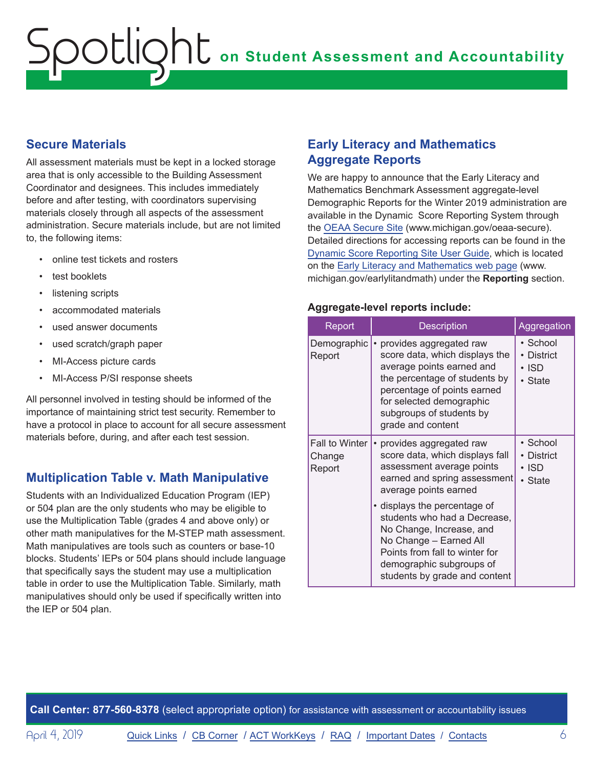### <span id="page-5-0"></span>**Secure Materials**

All assessment materials must be kept in a locked storage area that is only accessible to the Building Assessment Coordinator and designees. This includes immediately before and after testing, with coordinators supervising materials closely through all aspects of the assessment administration. Secure materials include, but are not limited to, the following items:

- online test tickets and rosters
- test booklets
- listening scripts
- accommodated materials
- used answer documents
- used scratch/graph paper
- MI-Access picture cards
- MI-Access P/SI response sheets

All personnel involved in testing should be informed of the importance of maintaining strict test security. Remember to have a protocol in place to account for all secure assessment materials before, during, and after each test session.

## **Multiplication Table v. Math Manipulative**

Students with an Individualized Education Program (IEP) or 504 plan are the only students who may be eligible to use the Multiplication Table (grades 4 and above only) or other math manipulatives for the M-STEP math assessment. Math manipulatives are tools such as counters or base-10 blocks. Students' IEPs or 504 plans should include language that specifically says the student may use a multiplication table in order to use the Multiplication Table. Similarly, math manipulatives should only be used if specifically written into the IEP or 504 plan.

### **Early Literacy and Mathematics Aggregate Reports**

We are happy to announce that the Early Literacy and Mathematics Benchmark Assessment aggregate-level Demographic Reports for the Winter 2019 administration are available in the Dynamic Score Reporting System through the [OEAA Secure Site](http://www.michigan.gov/oeaa-secure) (www.michigan.gov/oeaa-secure). Detailed directions for accessing reports can be found in the [Dynamic Score Reporting Site User Guide,](https://www.michigan.gov/documents/mde/How_to_Navigate_Dynamic_Score_Reports_532306_7.pdf) which is located on the [Early Literacy and Mathematics web page](www.michigan.gov/earlylitandmath) (www. michigan.gov/earlylitandmath) under the **Reporting** section.

#### **Aggregate-level reports include:**

| Report                                    | <b>Description</b>                                                                                                                                                                                                                    | Aggregation                                           |
|-------------------------------------------|---------------------------------------------------------------------------------------------------------------------------------------------------------------------------------------------------------------------------------------|-------------------------------------------------------|
| Demographic  <br>Report                   | • provides aggregated raw<br>score data, which displays the<br>average points earned and<br>the percentage of students by<br>percentage of points earned<br>for selected demographic<br>subgroups of students by<br>grade and content | • School<br>• District<br>$\cdot$ ISD<br>• State      |
| <b>Fall to Winter</b><br>Change<br>Report | provides aggregated raw<br>score data, which displays fall<br>assessment average points<br>earned and spring assessment<br>average points earned                                                                                      | • School<br><b>District</b><br>$\cdot$ ISD<br>• State |
|                                           | • displays the percentage of<br>students who had a Decrease,<br>No Change, Increase, and<br>No Change - Earned All<br>Points from fall to winter for<br>demographic subgroups of<br>students by grade and content                     |                                                       |

**Call Center: 877-560-8378** (select appropriate option) for assistance with assessment or accountability issues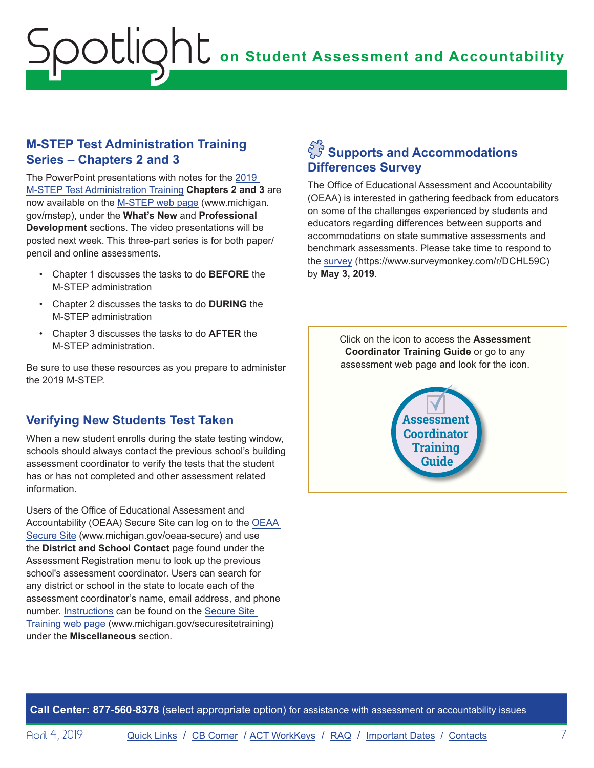### <span id="page-6-0"></span>**M-STEP Test Administration Training Series – Chapters 2 and 3**

The PowerPoint presentations with notes for the [2019](https://www.michigan.gov/mde/0,4615,7-140-22709_70117-377598--,00.html)  [M-STEP Test Administration Training](https://www.michigan.gov/mde/0,4615,7-140-22709_70117-377598--,00.html) **Chapters 2 and 3** are now available on the [M-STEP web page](www.michigan.gov/mstep) (www.michigan. gov/mstep), under the **What's New** and **Professional Development** sections. The video presentations will be posted next week. This three-part series is for both paper/ pencil and online assessments.

- Chapter 1 discusses the tasks to do **BEFORE** the M-STEP administration
- Chapter 2 discusses the tasks to do **DURING** the M-STEP administration
- Chapter 3 discusses the tasks to do **AFTER** the M-STEP administration.

Be sure to use these resources as you prepare to administer the 2019 M-STEP.

# **Verifying New Students Test Taken**

When a new student enrolls during the state testing window, schools should always contact the previous school's building assessment coordinator to verify the tests that the student has or has not completed and other assessment related information.

Users of the Office of Educational Assessment and Accountability (OEAA) Secure Site can log on to the [OEAA](http://www.michigan.gov/oeaa-secure)  [Secure Site](http://www.michigan.gov/oeaa-secure) (www.michigan.gov/oeaa-secure) and use the **District and School Contact** page found under the Assessment Registration menu to look up the previous school's assessment coordinator. Users can search for any district or school in the state to locate each of the assessment coordinator's name, email address, and phone number. [Instructions](https://www.michigan.gov/documents/mde/District_and_School_Contacts_Directions_jl_538104_7.pdf) can be found on the [Secure Site](http://www.michigan.gov/securesitetraining)  [Training web page](http://www.michigan.gov/securesitetraining) (www.michigan.gov/securesitetraining) under the **Miscellaneous** section.

# $\hat{S}_S^S$  Supports and Accommodations **Differences Survey**

The Office of Educational Assessment and Accountability (OEAA) is interested in gathering feedback from educators on some of the challenges experienced by students and educators regarding differences between supports and accommodations on state summative assessments and benchmark assessments. Please take time to respond to the [survey](https://www.surveymonkey.com/r/DCHL59C) (https://www.surveymonkey.com/r/DCHL59C) by **May 3, 2019**.

> Click on the icon to access the **Assessment Coordinator Training Guide** or go to any assessment web page and look for the icon.



**Call Center: 877-560-8378** (select appropriate option) for assistance with assessment or accountability issues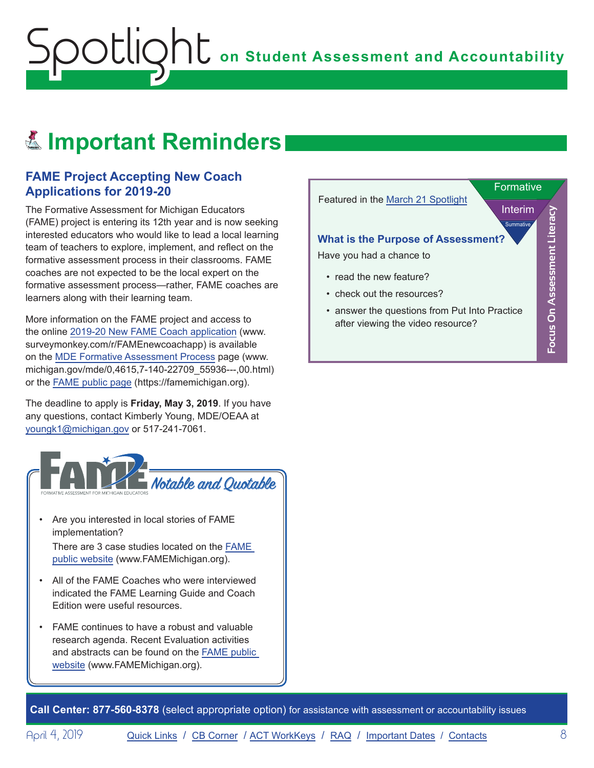# <span id="page-7-0"></span>Reminders **Important Reminders**

### **FAME Project Accepting New Coach Applications for 2019-20**

The Formative Assessment for Michigan Educators (FAME) project is entering its 12th year and is now seeking interested educators who would like to lead a local learning team of teachers to explore, implement, and reflect on the formative assessment process in their classrooms. FAME coaches are not expected to be the local expert on the formative assessment process—rather, FAME coaches are learners along with their learning team.

More information on the FAME project and access to the online [2019-20 New FAME Coach application](https://www.surveymonkey.com/r/FAMEnewcoachapp) (www. surveymonkey.com/r/FAMEnewcoachapp) is available on the [MDE Formative Assessment Process](https://www.michigan.gov/mde/0,4615,7-140-22709_55936---,00.html) page (www. michigan.gov/mde/0,4615,7-140-22709\_55936---,00.html) or the FAME [public page](https://famemichigan.org/) (https://famemichigan.org).

The deadline to apply is **Friday, May 3, 2019**. If you have any questions, contact Kimberly Young, MDE/OEAA at [youngk1@michigan.gov](mailto:youngk1%40michigan.gov?subject=) or 517-241-7061.



- Are you interested in local stories of FAME implementation? There are 3 case studies located on the [FAME](http://www.FAMEMichigan.org)  [public website](http://www.FAMEMichigan.org) (www.FAMEMichigan.org).
- All of the FAME Coaches who were interviewed indicated the FAME Learning Guide and Coach Edition were useful resources.
- FAME continues to have a robust and valuable research agenda. Recent Evaluation activities and abstracts can be found on the [FAME public](http://www.FAMEMichigan.org)  [website](http://www.FAMEMichigan.org) (www.FAMEMichigan.org).



**Call Center: 877-560-8378** (select appropriate option) for assistance with assessment or accountability issues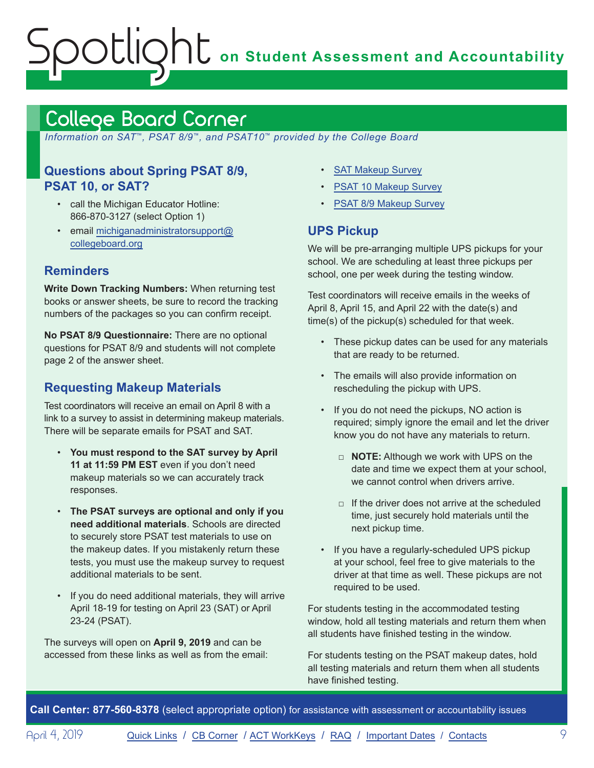# <span id="page-8-1"></span><span id="page-8-0"></span>College Board Corner

 *Information on SAT*™*, PSAT 8/9*™*, and PSAT10*™ *provided by the College Board*

## **Questions about Spring PSAT 8/9, PSAT 10, or SAT?**

- call the Michigan Educator Hotline: 866-870-3127 (select Option 1)
- email [michiganadministratorsupport@](mailto:michiganadministratorsupport%40collegeboard.org?subject=) [collegeboard.org](mailto:michiganadministratorsupport%40collegeboard.org?subject=)

## **Reminders**

**Write Down Tracking Numbers:** When returning test books or answer sheets, be sure to record the tracking numbers of the packages so you can confirm receipt.

**No PSAT 8/9 Questionnaire:** There are no optional questions for PSAT 8/9 and students will not complete page 2 of the answer sheet.

# **Requesting Makeup Materials**

Test coordinators will receive an email on April 8 with a link to a survey to assist in determining makeup materials. There will be separate emails for PSAT and SAT.

- **You must respond to the SAT survey by April 11 at 11:59 PM EST** even if you don't need makeup materials so we can accurately track responses.
- **The PSAT surveys are optional and only if you need additional materials**. Schools are directed to securely store PSAT test materials to use on the makeup dates. If you mistakenly return these tests, you must use the makeup survey to request additional materials to be sent.
- If you do need additional materials, they will arrive April 18-19 for testing on April 23 (SAT) or April 23-24 (PSAT).

The surveys will open on **April 9, 2019** and can be accessed from these links as well as from the email:

- [SAT Makeup Survey](https://www.surveyresearchonline.com/se.ashx?s=7321E7ED35FBD5F4)
- [PSAT 10 Makeup Survey](https://www.surveyresearchonline.com/se.ashx?s=7321E7ED71599E6D)
- [PSAT 8/9 Makeup Survey](https://www.surveyresearchonline.com/se.ashx?s=7321E7ED3AD7A029)

## **UPS Pickup**

We will be pre-arranging multiple UPS pickups for your school. We are scheduling at least three pickups per school, one per week during the testing window.

Test coordinators will receive emails in the weeks of April 8, April 15, and April 22 with the date(s) and time(s) of the pickup(s) scheduled for that week.

- These pickup dates can be used for any materials that are ready to be returned.
- The emails will also provide information on rescheduling the pickup with UPS.
- If you do not need the pickups, NO action is required; simply ignore the email and let the driver know you do not have any materials to return.
	- □ **NOTE:** Although we work with UPS on the date and time we expect them at your school, we cannot control when drivers arrive.
	- $\Box$  If the driver does not arrive at the scheduled time, just securely hold materials until the next pickup time.
- If you have a regularly-scheduled UPS pickup at your school, feel free to give materials to the driver at that time as well. These pickups are not required to be used.

For students testing in the accommodated testing window, hold all testing materials and return them when all students have finished testing in the window.

For students testing on the PSAT makeup dates, hold all testing materials and return them when all students have finished testing.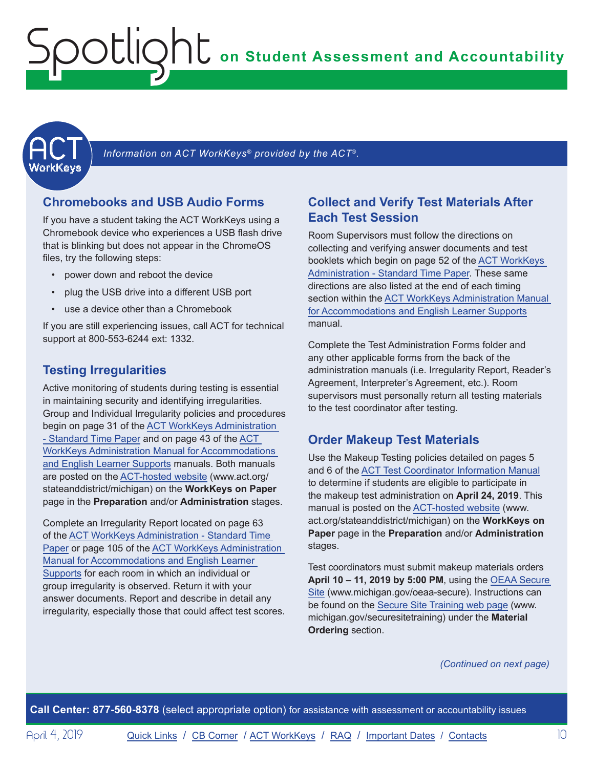<span id="page-9-1"></span><span id="page-9-0"></span>

Information on ACT WorkKeys<sup>®</sup> provided by the ACT®.

#### **Chromebooks and USB Audio Forms**

If you have a student taking the ACT WorkKeys using a Chromebook device who experiences a USB flash drive that is blinking but does not appear in the ChromeOS files, try the following steps:

- power down and reboot the device
- plug the USB drive into a different USB port
- use a device other than a Chromebook

If you are still experiencing issues, call ACT for technical support at 800-553-6244 ext: 1332.

#### **Testing Irregularities**

Active monitoring of students during testing is essential in maintaining security and identifying irregularities. Group and Individual Irregularity policies and procedures begin on page 31 of the [ACT WorkKeys Administration](http://www.act.org/content/dam/act/secured/documents/pdfs/WK-Admin-SD-Std-Time-Paper-Secured.pdf)  [- Standard Time Paper](http://www.act.org/content/dam/act/secured/documents/pdfs/WK-Admin-SD-Std-Time-Paper-Secured.pdf) and on page 43 of the [ACT](http://www.act.org/content/dam/act/secured/documents/pdfs/WK-Admin-SD-Accoms-Secured.pdf)  [WorkKeys Administration Manual for Accommodations](http://www.act.org/content/dam/act/secured/documents/pdfs/WK-Admin-SD-Accoms-Secured.pdf)  [and English Learner Supports](http://www.act.org/content/dam/act/secured/documents/pdfs/WK-Admin-SD-Accoms-Secured.pdf) manuals. Both manuals are posted on the [ACT-hosted website](http://www.act.org/stateanddistrict/michigan) (www.act.org/ stateanddistrict/michigan) on the **WorkKeys on Paper** page in the **Preparation** and/or **Administration** stages.

Complete an Irregularity Report located on page 63 of the [ACT WorkKeys Administration - Standard Time](http://www.act.org/content/dam/act/secured/documents/pdfs/WK-Admin-SD-Std-Time-Paper-Secured.pdf)  [Paper](http://www.act.org/content/dam/act/secured/documents/pdfs/WK-Admin-SD-Std-Time-Paper-Secured.pdf) or page 105 of the [ACT WorkKeys Administration](http://www.act.org/content/dam/act/secured/documents/pdfs/WK-Admin-SD-Accoms-Secured.pdf)  [Manual for Accommodations and English Learner](http://www.act.org/content/dam/act/secured/documents/pdfs/WK-Admin-SD-Accoms-Secured.pdf)  [Supports](http://www.act.org/content/dam/act/secured/documents/pdfs/WK-Admin-SD-Accoms-Secured.pdf) for each room in which an individual or group irregularity is observed. Return it with your answer documents. Report and describe in detail any irregularity, especially those that could affect test scores.

#### **Collect and Verify Test Materials After Each Test Session**

Room Supervisors must follow the directions on collecting and verifying answer documents and test booklets which begin on page 52 of the [ACT WorkKeys](http://www.act.org/content/dam/act/secured/documents/pdfs/WK-Admin-SD-Std-Time-Paper-Secured.pdf)  [Administration - Standard Time Paper.](http://www.act.org/content/dam/act/secured/documents/pdfs/WK-Admin-SD-Std-Time-Paper-Secured.pdf) These same directions are also listed at the end of each timing section within the [ACT WorkKeys Administration Manual](http://www.act.org/content/dam/act/secured/documents/pdfs/WK-Admin-SD-Accoms-Secured.pdf)  [for Accommodations and English Learner Supports](http://www.act.org/content/dam/act/secured/documents/pdfs/WK-Admin-SD-Accoms-Secured.pdf) manual.

Complete the Test Administration Forms folder and any other applicable forms from the back of the administration manuals (i.e. Irregularity Report, Reader's Agreement, Interpreter's Agreement, etc.). Room supervisors must personally return all testing materials to the test coordinator after testing.

#### **Order Makeup Test Materials**

Use the Makeup Testing policies detailed on pages 5 and 6 of the [ACT Test Coordinator Information Manual](https://www.act.org/content/dam/act/secured/documents/pdfs/state-district-test-coordinator-paper-test.pdf) to determine if students are eligible to participate in the makeup test administration on **April 24, 2019**. This manual is posted on the [ACT-hosted website](http://www.act.org/stateanddistrict/michigan) (www. act.org/stateanddistrict/michigan) on the **WorkKeys on Paper** page in the **Preparation** and/or **Administration** stages.

Test coordinators must submit makeup materials orders **April 10 – 11, 2019 by 5:00 PM**, using the [OEAA Secure](http://www.michigan.gov/oeaa-secure)  [Site](http://www.michigan.gov/oeaa-secure) (www.michigan.gov/oeaa-secure). Instructions can be found on the [Secure Site Training web page](http://www.michigan.gov/securesitetraining) (www. michigan.gov/securesitetraining) under the **Material Ordering** section.

*(Continued on next page)*

**Call Center: 877-560-8378** (select appropriate option) for assistance with assessment or accountability issues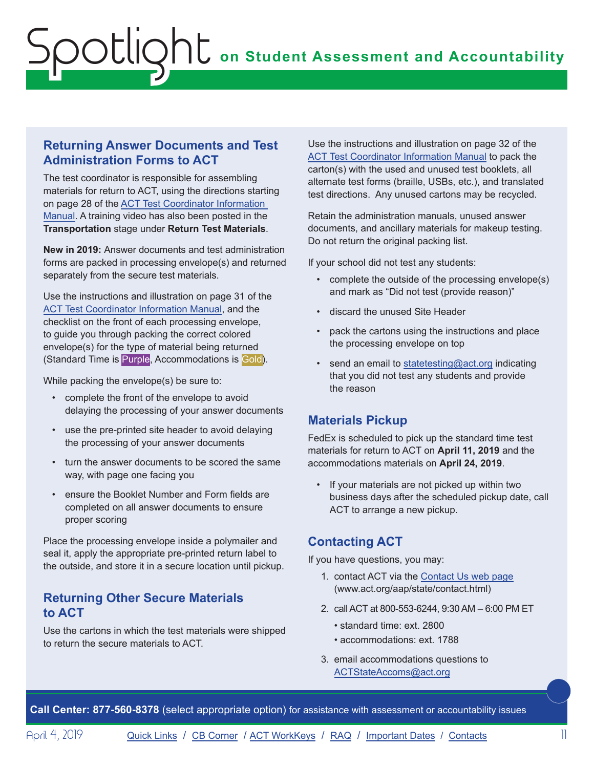### **Returning Answer Documents and Test Administration Forms to ACT**

The test coordinator is responsible for assembling materials for return to ACT, using the directions starting on page 28 of the [ACT Test Coordinator Information](https://www.act.org/content/dam/act/secured/documents/pdfs/state-district-test-coordinator-paper-test.pdf)  [Manual](https://www.act.org/content/dam/act/secured/documents/pdfs/state-district-test-coordinator-paper-test.pdf). A training video has also been posted in the **Transportation** stage under **Return Test Materials**.

**New in 2019:** Answer documents and test administration forms are packed in processing envelope(s) and returned separately from the secure test materials.

Use the instructions and illustration on page 31 of the [ACT Test Coordinator Information Manual,](https://www.act.org/content/dam/act/secured/documents/pdfs/state-district-test-coordinator-paper-test.pdf) and the checklist on the front of each processing envelope, to guide you through packing the correct colored envelope(s) for the type of material being returned (Standard Time is Purple, Accommodations is Gold).

While packing the envelope(s) be sure to:

- complete the front of the envelope to avoid delaying the processing of your answer documents
- use the pre-printed site header to avoid delaying the processing of your answer documents
- turn the answer documents to be scored the same way, with page one facing you
- ensure the Booklet Number and Form fields are completed on all answer documents to ensure proper scoring

Place the processing envelope inside a polymailer and seal it, apply the appropriate pre-printed return label to the outside, and store it in a secure location until pickup.

### **Returning Other Secure Materials to ACT**

Use the cartons in which the test materials were shipped to return the secure materials to ACT.

Use the instructions and illustration on page 32 of the [ACT Test Coordinator Information Manual](https://www.act.org/content/dam/act/secured/documents/pdfs/state-district-test-coordinator-paper-test.pdf) to pack the carton(s) with the used and unused test booklets, all alternate test forms (braille, USBs, etc.), and translated test directions. Any unused cartons may be recycled.

Retain the administration manuals, unused answer documents, and ancillary materials for makeup testing. Do not return the original packing list.

If your school did not test any students:

- complete the outside of the processing envelope(s) and mark as "Did not test (provide reason)"
- discard the unused Site Header
- pack the cartons using the instructions and place the processing envelope on top
- send an email to [statetesting@act.org](mailto:statetesting%40act.org?subject=) indicating that you did not test any students and provide the reason

## **Materials Pickup**

FedEx is scheduled to pick up the standard time test materials for return to ACT on **April 11, 2019** and the accommodations materials on **April 24, 2019**.

• If your materials are not picked up within two business days after the scheduled pickup date, call ACT to arrange a new pickup.

## **Contacting ACT**

If you have questions, you may:

- 1. contact ACT via the [Contact Us web page](http://www.act.org/aap/state/contact.html) ([www.act.org/aap/state/contact.html\)](www.act.org/aap/state/contact.html)
- 2. call ACT at 800-553-6244, 9:30 AM 6:00 PM ET
	- standard time: ext. 2800
	- accommodations: ext. 1788
- 3. email accommodations questions to [ACTStateAccoms@act.org](mailto:ACTStateAccoms%40act.org?subject=)

**Call Center: 877-560-8378** (select appropriate option) for assistance with assessment or accountability issues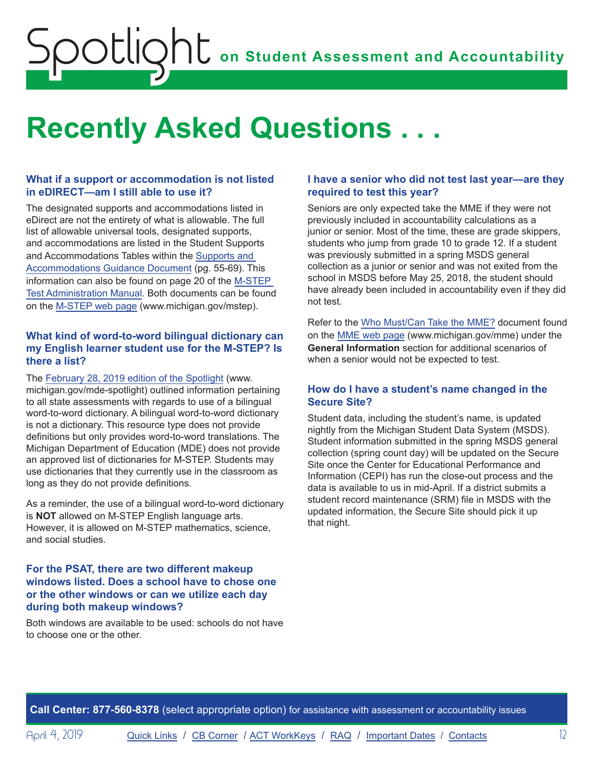# <span id="page-11-0"></span>**Recently Asked Questions . . .**

#### **What if a support or accommodation is not listed in eDIRECT—am I still able to use it?**

The designated supports and accommodations listed in eDirect are not the entirety of what is allowable. The full list of allowable universal tools, designated supports, and accommodations are listed in the Student Supports and Accommodations Tables within the [Supports and](https://www.michigan.gov/documents/mde/Michigan_Accommodations_Manual.final_480016_7.pdf)  [Accommodations Guidance Document](https://www.michigan.gov/documents/mde/Michigan_Accommodations_Manual.final_480016_7.pdf) (pg. 55-69). This information can also be found on page 20 of the [M-STEP](https://www.michigan.gov/documents/mde/M-STEP_Test_Administration_Manual_630729_7.pdf)  [Test Administration Manual.](https://www.michigan.gov/documents/mde/M-STEP_Test_Administration_Manual_630729_7.pdf) Both documents can be found on the [M-STEP web page](www.michigan.gov/mstep) (www.michigan.gov/mstep).

#### **What kind of word-to-word bilingual dictionary can my English learner student use for the M-STEP? Is there a list?**

The [February 28, 2019 edition of the Spotlight](https://www.michigan.gov/documents/mde/Spotlight_2-28-19_647776_7.pdf) (www. michigan.gov/mde-spotlight) outlined information pertaining to all state assessments with regards to use of a bilingual word-to-word dictionary. A bilingual word-to-word dictionary is not a dictionary. This resource type does not provide definitions but only provides word-to-word translations. The Michigan Department of Education (MDE) does not provide an approved list of dictionaries for M-STEP. Students may use dictionaries that they currently use in the classroom as long as they do not provide definitions.

As a reminder, the use of a bilingual word-to-word dictionary is **NOT** allowed on M-STEP English language arts. However, it is allowed on M-STEP mathematics, science, and social studies.

#### **For the PSAT, there are two different makeup windows listed. Does a school have to chose one or the other windows or can we utilize each day during both makeup windows?**

Both windows are available to be used: schools do not have to choose one or the other.

#### **I have a senior who did not test last year—are they required to test this year?**

Seniors are only expected take the MME if they were not previously included in accountability calculations as a junior or senior. Most of the time, these are grade skippers, students who jump from grade 10 to grade 12. If a student was previously submitted in a spring MSDS general collection as a junior or senior and was not exited from the school in MSDS before May 25, 2018, the student should have already been included in accountability even if they did not test.

Refer to the [Who Must/Can Take the MME?](https://www.michigan.gov/documents/mde/MME_Eligibility_544301_7.pdf) document found on the [MME web page](www.michigan.gov/mme) (www.michigan.gov/mme) under the **General Information** section for additional scenarios of when a senior would not be expected to test.

#### **How do I have a student's name changed in the Secure Site?**

Student data, including the student's name, is updated nightly from the Michigan Student Data System (MSDS). Student information submitted in the spring MSDS general collection (spring count day) will be updated on the Secure Site once the Center for Educational Performance and Information (CEPI) has run the close-out process and the data is available to us in mid-April. If a district submits a student record maintenance (SRM) file in MSDS with the updated information, the Secure Site should pick it up that night.

**Call Center: 877-560-8378** (select appropriate option) for assistance with assessment or accountability issues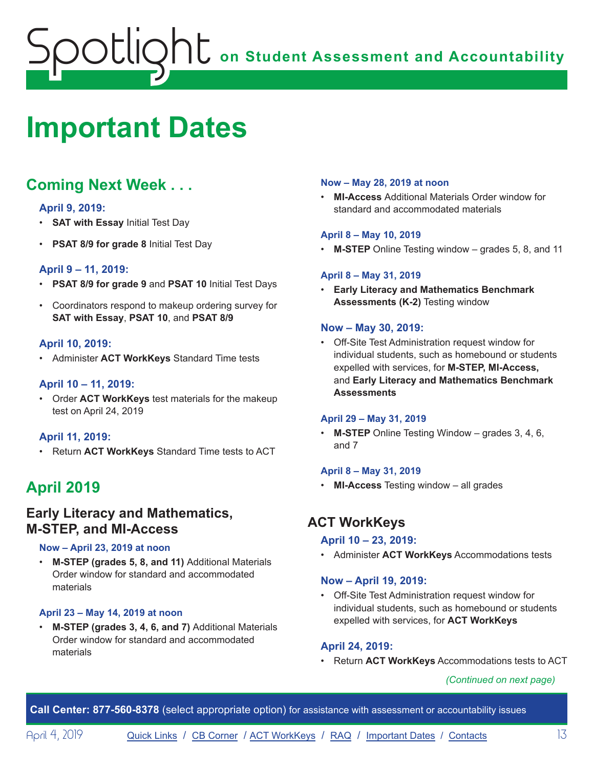# <span id="page-12-1"></span><span id="page-12-0"></span>**Important Dates**

# **Coming Next Week . . .**

#### **April 9, 2019:**

- **SAT with Essay** Initial Test Day
- **PSAT 8/9 for grade 8** Initial Test Day

#### **April 9 – 11, 2019:**

- **PSAT 8/9 for grade 9** and **PSAT 10** Initial Test Days
- Coordinators respond to makeup ordering survey for **SAT with Essay**, **PSAT 10**, and **PSAT 8/9**

#### **April 10, 2019:**

• Administer **ACT WorkKeys** Standard Time tests

#### **April 10 – 11, 2019:**

• Order **ACT WorkKeys** test materials for the makeup test on April 24, 2019

#### **April 11, 2019:**

• Return **ACT WorkKeys** Standard Time tests to ACT

# **April 2019**

## **Early Literacy and Mathematics, M-STEP, and MI-Access**

#### **Now – April 23, 2019 at noon**

• **M-STEP (grades 5, 8, and 11)** Additional Materials Order window for standard and accommodated materials

#### **April 23 – May 14, 2019 at noon**

• **M-STEP (grades 3, 4, 6, and 7)** Additional Materials Order window for standard and accommodated materials

#### **Now – May 28, 2019 at noon**

• **MI-Access** Additional Materials Order window for standard and accommodated materials

#### **April 8 – May 10, 2019**

• **M-STEP** Online Testing window – grades 5, 8, and 11

#### **April 8 – May 31, 2019**

• **Early Literacy and Mathematics Benchmark Assessments (K-2)** Testing window

#### **Now – May 30, 2019:**

• Off-Site Test Administration request window for individual students, such as homebound or students expelled with services, for **M-STEP, MI-Access,**  and **Early Literacy and Mathematics Benchmark Assessments**

#### **April 29 – May 31, 2019**

• **M-STEP** Online Testing Window – grades 3, 4, 6, and 7

#### **April 8 – May 31, 2019**

• **MI-Access** Testing window – all grades

# **ACT WorkKeys**

#### **April 10 – 23, 2019:**

• Administer **ACT WorkKeys** Accommodations tests

#### **Now – April 19, 2019:**

• Off-Site Test Administration request window for individual students, such as homebound or students expelled with services, for **ACT WorkKeys**

#### **April 24, 2019:**

• Return **ACT WorkKeys** Accommodations tests to ACT

*(Continued on next page)*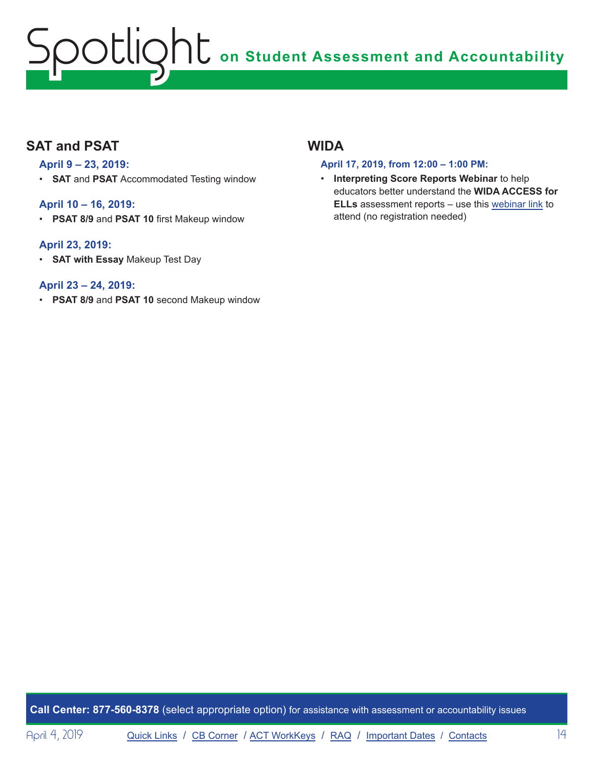# **SAT and PSAT**

#### **April 9 – 23, 2019:**

• **SAT** and **PSAT** Accommodated Testing window

#### **April 10 – 16, 2019:**

• **PSAT 8/9** and **PSAT 10** first Makeup window

#### **April 23, 2019:**

• **SAT with Essay** Makeup Test Day

#### **April 23 – 24, 2019:**

• **PSAT 8/9** and **PSAT 10** second Makeup window

# **WIDA**

#### **April 17, 2019, from 12:00 – 1:00 PM:**

• **Interpreting Score Reports Webinar** to help educators better understand the **WIDA ACCESS for ELLs** assessment reports – use this webinar link to attend (no registration needed)